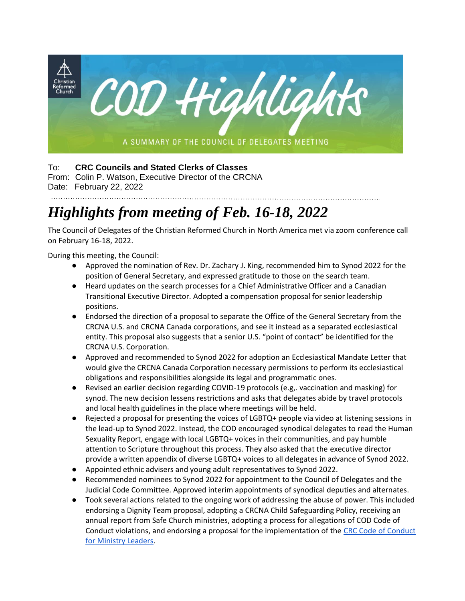

## To: **CRC Councils and Stated Clerks of Classes**

From: Colin P. Watson, Executive Director of the CRCNA Date: February 22, 2022

## *Highlights from meeting of Feb. 16-18, 2022*

The Council of Delegates of the Christian Reformed Church in North America met via zoom conference call on February 16-18, 2022.

During this meeting, the Council:

● Approved the nomination of Rev. Dr. Zachary J. King, recommended him to Synod 2022 for the position of General Secretary, and expressed gratitude to those on the search team.

- Heard updates on the search processes for a Chief Administrative Officer and a Canadian Transitional Executive Director. Adopted a compensation proposal for senior leadership positions.
- Endorsed the direction of a proposal to separate the Office of the General Secretary from the CRCNA U.S. and CRCNA Canada corporations, and see it instead as a separated ecclesiastical entity. This proposal also suggests that a senior U.S. "point of contact" be identified for the CRCNA U.S. Corporation.
- Approved and recommended to Synod 2022 for adoption an Ecclesiastical Mandate Letter that would give the CRCNA Canada Corporation necessary permissions to perform its ecclesiastical obligations and responsibilities alongside its legal and programmatic ones.
- Revised an earlier decision regarding COVID-19 protocols (e.g,. vaccination and masking) for synod. The new decision lessens restrictions and asks that delegates abide by travel protocols and local health guidelines in the place where meetings will be held.
- Rejected a proposal for presenting the voices of LGBTQ+ people via video at listening sessions in the lead-up to Synod 2022. Instead, the COD encouraged synodical delegates to read the Human Sexuality Report, engage with local LGBTQ+ voices in their communities, and pay humble attention to Scripture throughout this process. They also asked that the executive director provide a written appendix of diverse LGBTQ+ voices to all delegates in advance of Synod 2022.
- Appointed ethnic advisers and young adult representatives to Synod 2022.
- Recommended nominees to Synod 2022 for appointment to the Council of Delegates and the Judicial Code Committee. Approved interim appointments of synodical deputies and alternates.
- Took several actions related to the ongoing work of addressing the abuse of power. This included endorsing a Dignity Team proposal, adopting a CRCNA Child Safeguarding Policy, receiving an annual report from Safe Church ministries, adopting a process for allegations of COD Code of Conduct violations, and endorsing a proposal for the implementation of the [CRC Code of Conduct](https://www.crcna.org/synodresources/crc-code-conduct-ministry-leaders?language=en)  [for Ministry Leaders.](https://www.crcna.org/synodresources/crc-code-conduct-ministry-leaders?language=en)